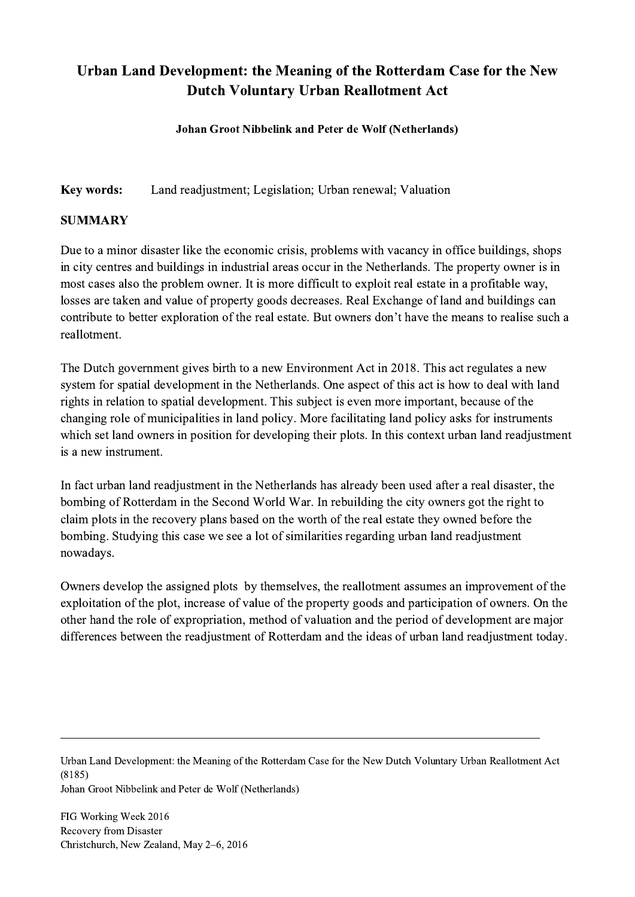## Urban Land Development: the Meaning of the Rotterdam Case for the New Dutch Voluntary Urban Reallotment Act

Johan Groot Nibbelink and Peter de Wolf (Netherlands)

Key words: Land readjustment; Legislation; Urban renewal; Valuation

## SUMMARY

Due to a minor disaster like the economic crisis, problems with vacancy in office buildings, shops in city centres and buildings in industrial areas occur in the Netherlands. The property owner is in most cases also the problem owner. It is more difficult to exploit real estate in a profitable way, losses are taken and value of property goods decreases. Real Exchange of land and buildings can contribute to better exploration of the real estate. But owners don't have the means to realise such a reallotment.

The Dutch government gives birth to a new Environment Act in 2018. This act regulates a new system for spatial development in the Netherlands. One aspect of this act is how to deal with land rights in relation to spatial development. This subject is even more important, because of the changing role of municipalities in land policy. More facilitating land policy asks for instruments which set land owners in position for developing their plots. In this context urban land readjustment is a new instrument.

In fact urban land readjustment in the Netherlands has already been used after a real disaster, the bombing of Rotterdam in the Second World War. In rebuilding the city owners got the right to claim plots in the recovery plans based on the worth of the real estate they owned before the bombing. Studying this case we see a lot of similarities regarding urban land readjustment nowadays.

Owners develop the assigned plots by themselves, the reallotment assumes an improvement of the exploitation of the plot, increase of value of the property goods and participation of owners. On the other hand the role of expropriation, method of valuation and the period of development are major differences between the readjustment of Rotterdam and the ideas of urban land readjustment today.

Urban Land Development: the Meaning of the Rotterdam Case for the New Dutch Voluntary Urban Reallotment Act (8185) Johan Groot Nibbelink and Peter de Wolf (Netherlands)

 $\mathcal{L}_\mathcal{L} = \{ \mathcal{L}_\mathcal{L} = \{ \mathcal{L}_\mathcal{L} = \{ \mathcal{L}_\mathcal{L} = \{ \mathcal{L}_\mathcal{L} = \{ \mathcal{L}_\mathcal{L} = \{ \mathcal{L}_\mathcal{L} = \{ \mathcal{L}_\mathcal{L} = \{ \mathcal{L}_\mathcal{L} = \{ \mathcal{L}_\mathcal{L} = \{ \mathcal{L}_\mathcal{L} = \{ \mathcal{L}_\mathcal{L} = \{ \mathcal{L}_\mathcal{L} = \{ \mathcal{L}_\mathcal{L} = \{ \mathcal{L}_\mathcal{$ 

FIG Working Week 2016 Recovery from Disaster Christchurch, New Zealand, May 2–6, 2016